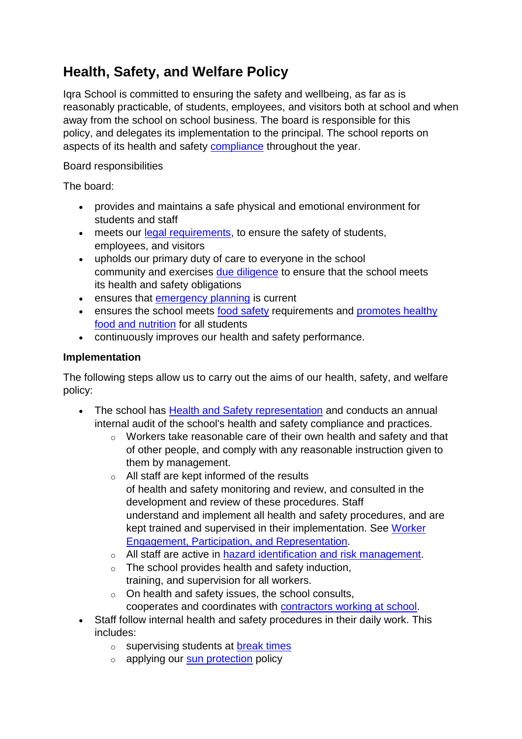## **Health, Safety, and Welfare Policy**

Iqra School is committed to ensuring the safety and wellbeing, as far as is reasonably practicable, of students, employees, and visitors both at school and when away from the school on school business. The board is responsible for this policy, and delegates its implementation to the principal. The school reports on aspects of its health and safety [compliance](https://iqra.schooldocs.co.nz/9243.htm) throughout the year.

## Board responsibilities

The board:

- provides and maintains a safe physical and emotional environment for students and staff
- meets our [legal requirements,](https://iqra.schooldocs.co.nz/12341.htm) to ensure the safety of students, employees, and visitors
- upholds our primary duty of care to everyone in the school community and exercises [due diligence](https://iqra.schooldocs.co.nz/12325.htm) to ensure that the school meets its health and safety obligations
- ensures that [emergency planning](https://iqra.schooldocs.co.nz/8846.htm) is current
- ensures the school meets food [safety](https://iqra.schooldocs.co.nz/23239.htm) requirements and promotes healthy food and [nutrition](https://iqra.schooldocs.co.nz/6205.htm) for all students
- continuously improves our health and safety performance.

## **Implementation**

The following steps allow us to carry out the aims of our health, safety, and welfare policy:

- The school has Health and Safety [representation](https://iqra.schooldocs.co.nz/5622.htm) and conducts an annual internal audit of the school's health and safety compliance and practices.
	- o Workers take reasonable care of their own health and safety and that of other people, and comply with any reasonable instruction given to them by management.
	- o All staff are kept informed of the results of health and safety monitoring and review, and consulted in the development and review of these procedures. Staff understand and implement all health and safety procedures, and are kept trained and supervised in their implementation. See [Worker](https://iqra.schooldocs.co.nz/5622.htm)  [Engagement, Participation,](https://iqra.schooldocs.co.nz/5622.htm) and Representation.
	- o All staff are active in [hazard identification](https://iqra.schooldocs.co.nz/430.htm) and risk management.
	- o The school provides health and safety induction, training, and supervision for all workers.
	- o On health and safety issues, the school consults, cooperates and coordinates with [contractors working at school.](https://iqra.schooldocs.co.nz/13657.htm)
- Staff follow internal health and safety procedures in their daily work. This includes:
	- o supervising students at [break times](https://iqra.schooldocs.co.nz/17087.htm)
	- $\circ$  applying our [sun protection](https://iqra.schooldocs.co.nz/17216.htm) policy